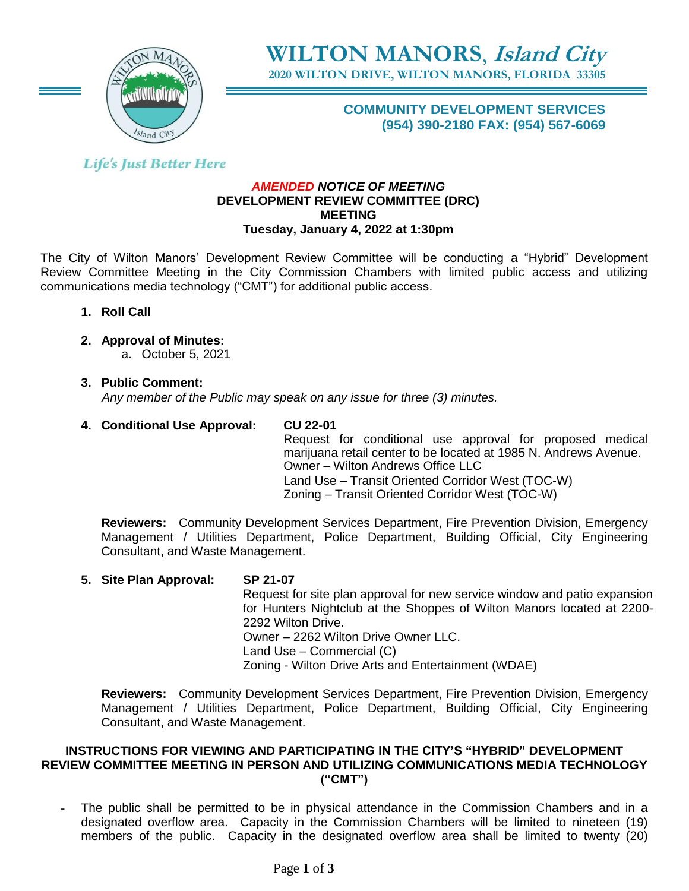

**WILTON MANORS**, **Island City**

**2020 WILTON DRIVE, WILTON MANORS, FLORIDA 33305**

# **COMMUNITY DEVELOPMENT SERVICES (954) 390-2180 FAX: (954) 567-6069**

# **Life's Just Better Here**

#### *AMENDED NOTICE OF MEETING* **DEVELOPMENT REVIEW COMMITTEE (DRC) MEETING Tuesday, January 4, 2022 at 1:30pm**

The City of Wilton Manors' Development Review Committee will be conducting a "Hybrid" Development Review Committee Meeting in the City Commission Chambers with limited public access and utilizing communications media technology ("CMT") for additional public access.

- **1. Roll Call**
- **2. Approval of Minutes:**

a. October 5, 2021

**3. Public Comment:**   *Any member of the Public may speak on any issue for three (3) minutes.*

# **4. Conditional Use Approval: CU 22-01**

Request for conditional use approval for proposed medical marijuana retail center to be located at 1985 N. Andrews Avenue. Owner – Wilton Andrews Office LLC Land Use – Transit Oriented Corridor West (TOC-W) Zoning – Transit Oriented Corridor West (TOC-W)

**Reviewers:** Community Development Services Department, Fire Prevention Division, Emergency Management / Utilities Department, Police Department, Building Official, City Engineering Consultant, and Waste Management.

#### **5. Site Plan Approval: SP 21-07**

Request for site plan approval for new service window and patio expansion for Hunters Nightclub at the Shoppes of Wilton Manors located at 2200- 2292 Wilton Drive. Owner – 2262 Wilton Drive Owner LLC.

Land Use – Commercial (C)

Zoning - Wilton Drive Arts and Entertainment (WDAE)

**Reviewers:** Community Development Services Department, Fire Prevention Division, Emergency Management / Utilities Department, Police Department, Building Official, City Engineering Consultant, and Waste Management.

#### **INSTRUCTIONS FOR VIEWING AND PARTICIPATING IN THE CITY'S "HYBRID" DEVELOPMENT REVIEW COMMITTEE MEETING IN PERSON AND UTILIZING COMMUNICATIONS MEDIA TECHNOLOGY ("CMT")**

The public shall be permitted to be in physical attendance in the Commission Chambers and in a designated overflow area. Capacity in the Commission Chambers will be limited to nineteen (19) members of the public. Capacity in the designated overflow area shall be limited to twenty (20)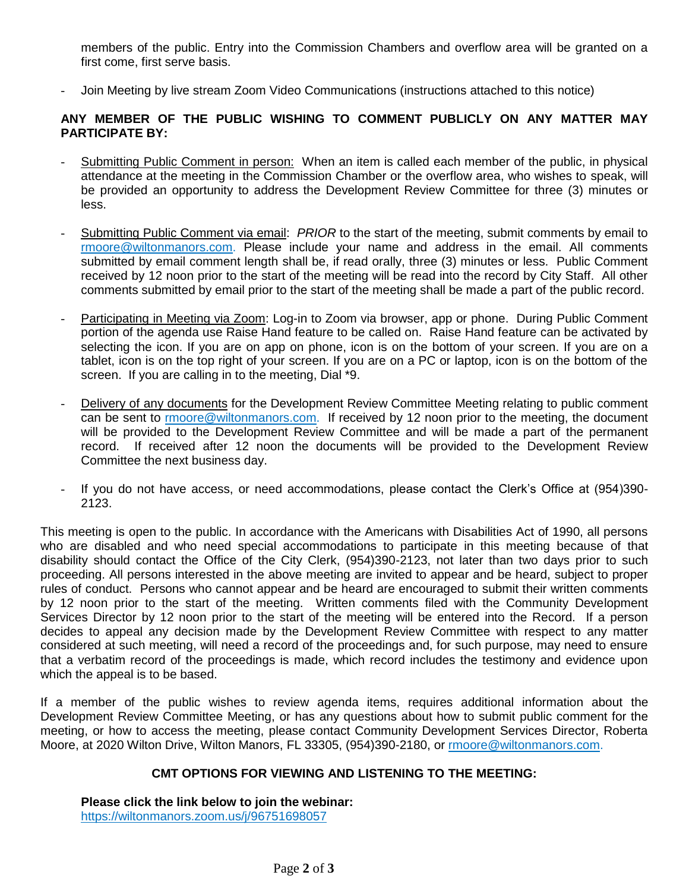members of the public. Entry into the Commission Chambers and overflow area will be granted on a first come, first serve basis.

- Join Meeting by live stream Zoom Video Communications (instructions attached to this notice)

#### **ANY MEMBER OF THE PUBLIC WISHING TO COMMENT PUBLICLY ON ANY MATTER MAY PARTICIPATE BY:**

- Submitting Public Comment in person: When an item is called each member of the public, in physical attendance at the meeting in the Commission Chamber or the overflow area, who wishes to speak, will be provided an opportunity to address the Development Review Committee for three (3) minutes or less.
- Submitting Public Comment via email: *PRIOR* to the start of the meeting, submit comments by email to [rmoore@wiltonmanors.com.](mailto:rmoore@wiltonmanors.com) Please include your name and address in the email. All comments submitted by email comment length shall be, if read orally, three (3) minutes or less. Public Comment received by 12 noon prior to the start of the meeting will be read into the record by City Staff. All other comments submitted by email prior to the start of the meeting shall be made a part of the public record.
- Participating in Meeting via Zoom: Log-in to Zoom via browser, app or phone. During Public Comment portion of the agenda use Raise Hand feature to be called on. Raise Hand feature can be activated by selecting the icon. If you are on app on phone, icon is on the bottom of your screen. If you are on a tablet, icon is on the top right of your screen. If you are on a PC or laptop, icon is on the bottom of the screen. If you are calling in to the meeting, Dial \*9.
- Delivery of any documents for the Development Review Committee Meeting relating to public comment can be sent to rmoor[e@wiltonmanors.com.](mailto:publiccomment@wiltonmanors.com) If received by 12 noon prior to the meeting, the document will be provided to the Development Review Committee and will be made a part of the permanent record. If received after 12 noon the documents will be provided to the Development Review Committee the next business day.
- If you do not have access, or need accommodations, please contact the Clerk's Office at (954)390- 2123.

This meeting is open to the public. In accordance with the Americans with Disabilities Act of 1990, all persons who are disabled and who need special accommodations to participate in this meeting because of that disability should contact the Office of the City Clerk, (954)390-2123, not later than two days prior to such proceeding. All persons interested in the above meeting are invited to appear and be heard, subject to proper rules of conduct. Persons who cannot appear and be heard are encouraged to submit their written comments by 12 noon prior to the start of the meeting. Written comments filed with the Community Development Services Director by 12 noon prior to the start of the meeting will be entered into the Record. If a person decides to appeal any decision made by the Development Review Committee with respect to any matter considered at such meeting, will need a record of the proceedings and, for such purpose, may need to ensure that a verbatim record of the proceedings is made, which record includes the testimony and evidence upon which the appeal is to be based.

If a member of the public wishes to review agenda items, requires additional information about the Development Review Committee Meeting, or has any questions about how to submit public comment for the meeting, or how to access the meeting, please contact Community Development Services Director, Roberta Moore, at 2020 Wilton Drive, Wilton Manors, FL 33305, (954)390-2180, or [rmoore@wiltonmanors.com.](mailto:rmoore@wiltonmanors.com)

#### **CMT OPTIONS FOR VIEWING AND LISTENING TO THE MEETING:**

**Please click the link below to join the webinar:** <https://wiltonmanors.zoom.us/j/96751698057>